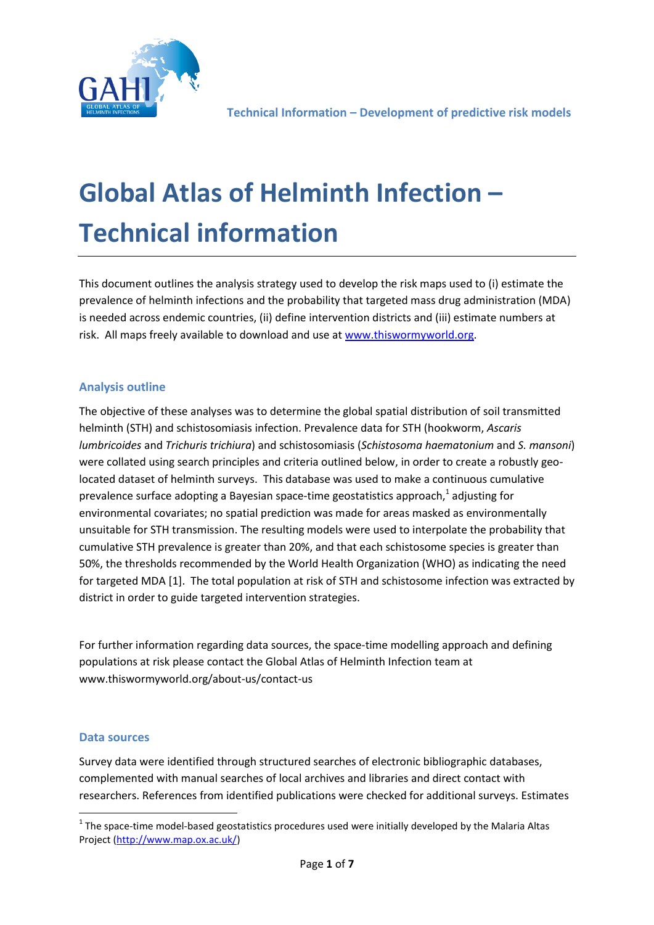

# **Global Atlas of Helminth Infection – Technical information**

This document outlines the analysis strategy used to develop the risk maps used to (i) estimate the prevalence of helminth infections and the probability that targeted mass drug administration (MDA) is needed across endemic countries, (ii) define intervention districts and (iii) estimate numbers at risk. All maps freely available to download and use at [www.thiswormyworld.org.](http://www.thiswormyworld.org/)

### **Analysis outline**

The objective of these analyses was to determine the global spatial distribution of soil transmitted helminth (STH) and schistosomiasis infection. Prevalence data for STH (hookworm, *Ascaris lumbricoides* and *Trichuris trichiura*) and schistosomiasis (*Schistosoma haematonium* and *S. mansoni*) were collated using search principles and criteria outlined below, in order to create a robustly geolocated dataset of helminth surveys. This database was used to make a continuous cumulative prevalence surface adopting a Bayesian space-time geostatistics approach,<sup>1</sup> adjusting for environmental covariates; no spatial prediction was made for areas masked as environmentally unsuitable for STH transmission. The resulting models were used to interpolate the probability that cumulative STH prevalence is greater than 20%, and that each schistosome species is greater than 50%, the thresholds recommended by the World Health Organization (WHO) as indicating the need for targeted MDA [1]. The total population at risk of STH and schistosome infection was extracted by district in order to guide targeted intervention strategies.

For further information regarding data sources, the space-time modelling approach and defining populations at risk please contact the Global Atlas of Helminth Infection team at www.thiswormyworld.org/about-us/contact-us

#### **Data sources**

1

Survey data were identified through structured searches of electronic bibliographic databases, complemented with manual searches of local archives and libraries and direct contact with researchers. References from identified publications were checked for additional surveys. Estimates

 $1$  The space-time model-based geostatistics procedures used were initially developed by the Malaria Altas Project [\(http://www.map.ox.ac.uk/\)](http://www.map.ox.ac.uk/)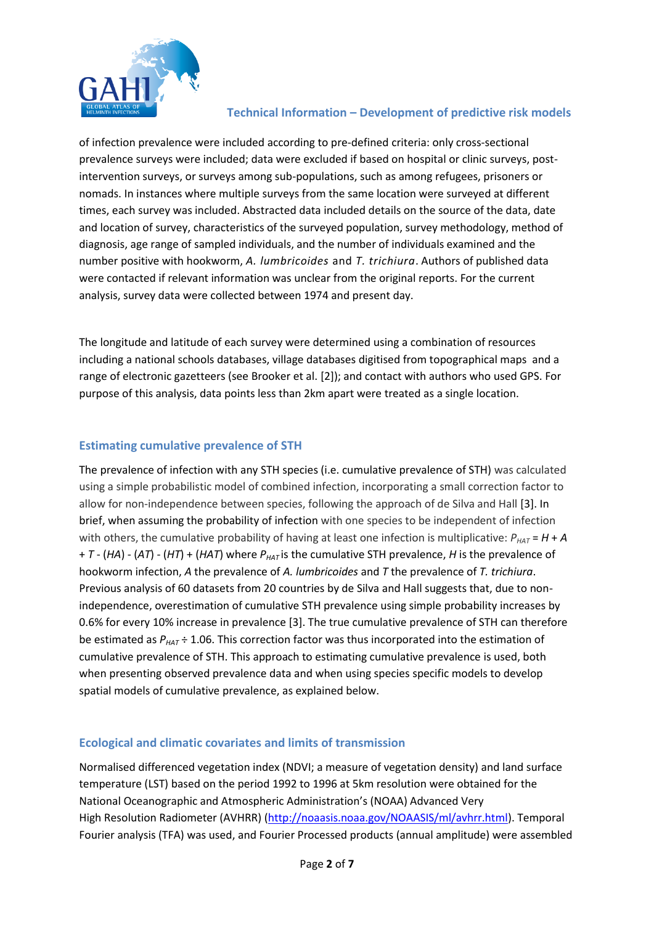

of infection prevalence were included according to pre-defined criteria: only cross-sectional prevalence surveys were included; data were excluded if based on hospital or clinic surveys, postintervention surveys, or surveys among sub-populations, such as among refugees, prisoners or nomads. In instances where multiple surveys from the same location were surveyed at different times, each survey was included. Abstracted data included details on the source of the data, date and location of survey, characteristics of the surveyed population, survey methodology, method of diagnosis, age range of sampled individuals, and the number of individuals examined and the number positive with hookworm, *A. lumbricoides* and *T. trichiura*. Authors of published data were contacted if relevant information was unclear from the original reports. For the current analysis, survey data were collected between 1974 and present day.

The longitude and latitude of each survey were determined using a combination of resources including a national schools databases, village databases digitised from topographical maps and a range of electronic gazetteers (see Brooker et al. [2]); and contact with authors who used GPS. For purpose of this analysis, data points less than 2km apart were treated as a single location.

#### **Estimating cumulative prevalence of STH**

The prevalence of infection with any STH species (i.e. cumulative prevalence of STH) was calculated using a simple probabilistic model of combined infection, incorporating a small correction factor to allow for non-independence between species, following the approach of de Silva and Hall [3]. In brief, when assuming the probability of infection with one species to be independent of infection with others, the cumulative probability of having at least one infection is multiplicative:  $P_{HAT} = H + A$ + *T* - (*HA*) - (*AT*) - (*HT*) + (*HAT*) where *PHAT* is the cumulative STH prevalence, *H* is the prevalence of hookworm infection, *A* the prevalence of *A. lumbricoides* and *T* the prevalence of *T. trichiura*. Previous analysis of 60 datasets from 20 countries by de Silva and Hall suggests that, due to nonindependence, overestimation of cumulative STH prevalence using simple probability increases by 0.6% for every 10% increase in prevalence [3]. The true cumulative prevalence of STH can therefore be estimated as *PHAT* ÷ 1.06. This correction factor was thus incorporated into the estimation of cumulative prevalence of STH. This approach to estimating cumulative prevalence is used, both when presenting observed prevalence data and when using species specific models to develop spatial models of cumulative prevalence, as explained below.

#### **Ecological and climatic covariates and limits of transmission**

Normalised differenced vegetation index (NDVI; a measure of vegetation density) and land surface temperature (LST) based on the period 1992 to 1996 at 5km resolution were obtained for the National Oceanographic and Atmospheric Administration's (NOAA) Advanced Very High Resolution Radiometer (AVHRR) [\(http://noaasis.noaa.gov/NOAASIS/ml/avhrr.html\)](http://noaasis.noaa.gov/NOAASIS/ml/avhrr.html). Temporal Fourier analysis (TFA) was used, and Fourier Processed products (annual amplitude) were assembled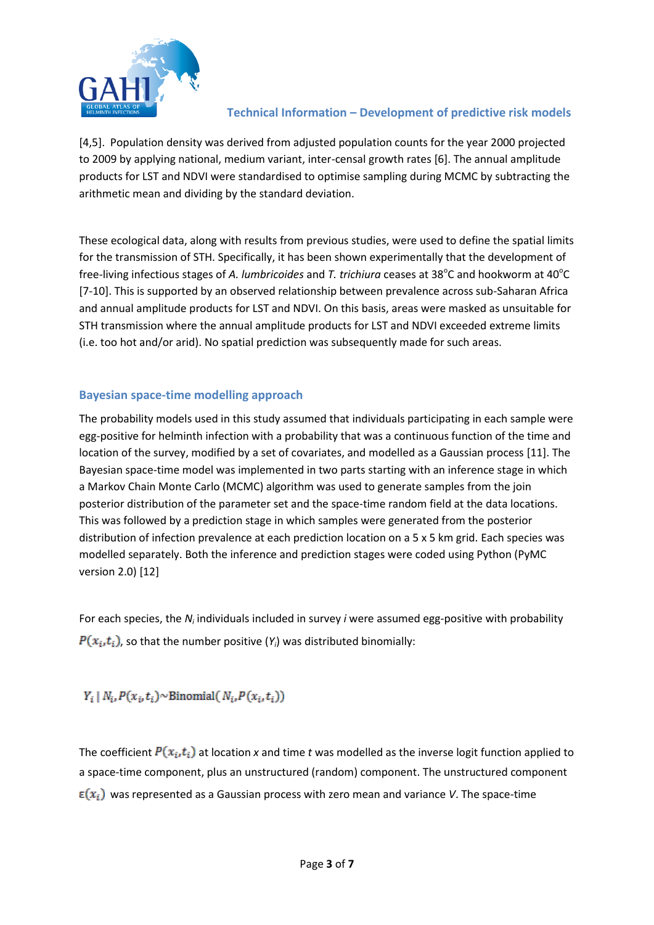

[4,5]. Population density was derived from adjusted population counts for the year 2000 projected to 2009 by applying national, medium variant, inter-censal growth rates [6]. The annual amplitude products for LST and NDVI were standardised to optimise sampling during MCMC by subtracting the arithmetic mean and dividing by the standard deviation.

These ecological data, along with results from previous studies, were used to define the spatial limits for the transmission of STH. Specifically, it has been shown experimentally that the development of free-living infectious stages of A. lumbricoides and T. trichiura ceases at 38°C and hookworm at 40°C [7-10]. This is supported by an observed relationship between prevalence across sub-Saharan Africa and annual amplitude products for LST and NDVI. On this basis, areas were masked as unsuitable for STH transmission where the annual amplitude products for LST and NDVI exceeded extreme limits (i.e. too hot and/or arid). No spatial prediction was subsequently made for such areas.

#### **Bayesian space-time modelling approach**

The probability models used in this study assumed that individuals participating in each sample were egg-positive for helminth infection with a probability that was a continuous function of the time and location of the survey, modified by a set of covariates, and modelled as a Gaussian process [11]. The Bayesian space-time model was implemented in two parts starting with an inference stage in which a Markov Chain Monte Carlo (MCMC) algorithm was used to generate samples from the join posterior distribution of the parameter set and the space-time random field at the data locations. This was followed by a prediction stage in which samples were generated from the posterior distribution of infection prevalence at each prediction location on a 5 x 5 km grid. Each species was modelled separately. Both the inference and prediction stages were coded using Python (PyMC version 2.0) [12]

For each species, the *N<sub>i</sub>* individuals included in survey *i* were assumed egg-positive with probability  $P(x_i, t_i)$ , so that the number positive  $(Y_i)$  was distributed binomially:

 $Y_i | N_i, P(x_i, t_i) \sim \text{Binomial}(N_i, P(x_i, t_i))$ 

The coefficient  $P(x_i, t_i)$  at location x and time t was modelled as the inverse logit function applied to a space-time component, plus an unstructured (random) component. The unstructured component  $\epsilon(x_i)$  was represented as a Gaussian process with zero mean and variance *V*. The space-time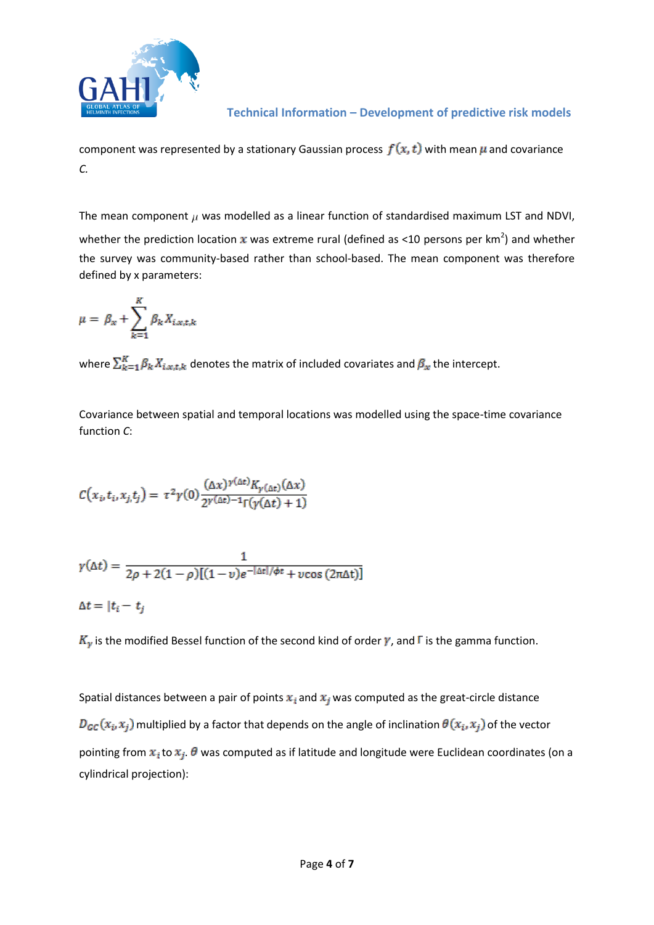

component was represented by a stationary Gaussian process  $f(x, t)$  with mean  $\mu$  and covariance *C.*

The mean component  $\mu$  was modelled as a linear function of standardised maximum LST and NDVI, whether the prediction location x was extreme rural (defined as <10 persons per km<sup>2</sup>) and whether the survey was community-based rather than school-based. The mean component was therefore defined by x parameters:

$$
\mu = \beta_x + \sum_{k=1}^K \beta_k X_{i,x,t,k}
$$

where  $\sum_{k=1}^{K} \beta_k X_{i,x,t,k}$  denotes the matrix of included covariates and  $\beta_x$  the intercept.

Covariance between spatial and temporal locations was modelled using the space-time covariance function *C*:

$$
C(x_i, t_i, x_j, t_j) = \tau^2 \gamma(0) \frac{(\Delta x)^{\gamma(\Delta t)} K_{\gamma(\Delta t)}(\Delta x)}{2^{\gamma(\Delta t) - 1} \Gamma(\gamma(\Delta t) + 1)}
$$

$$
\gamma(\Delta t) = \frac{1}{2\rho + 2(1-\rho)[(1-\nu)e^{-|\Delta t|/\phi t} + \nu\cos(2\pi\Delta t)]}
$$

$$
\Delta t = |t_i - t_j|
$$

 $K_{\gamma}$  is the modified Bessel function of the second kind of order  $\gamma$ , and  $\Gamma$  is the gamma function.

Spatial distances between a pair of points  $x_i$  and  $x_j$  was computed as the great-circle distance  $D_{GC}(x_i, x_j)$  multiplied by a factor that depends on the angle of inclination  $\theta(x_i, x_j)$  of the vector pointing from  $x_i$  to  $x_j$ .  $\theta$  was computed as if latitude and longitude were Euclidean coordinates (on a cylindrical projection):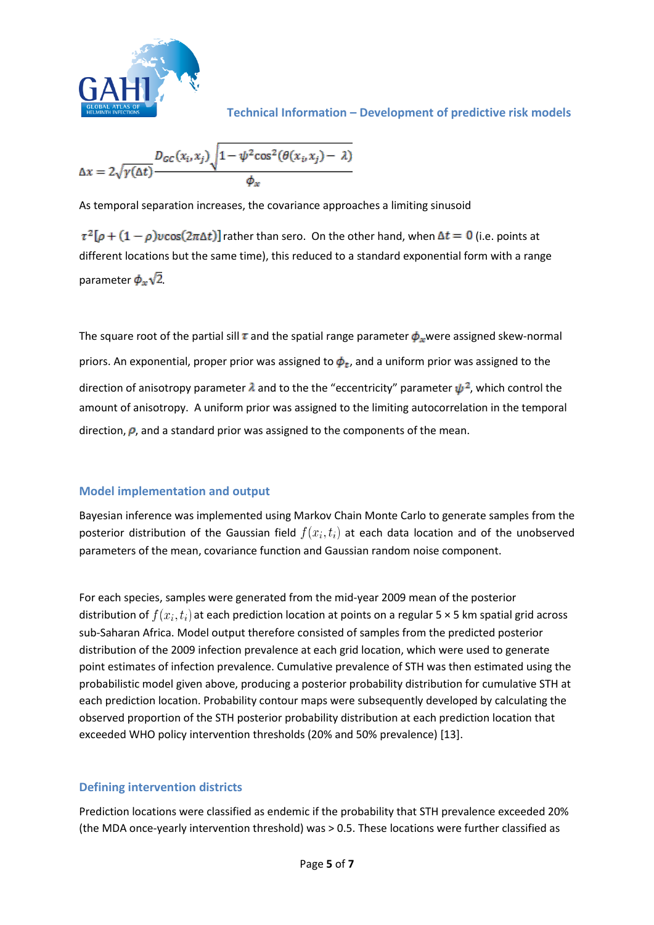

$$
\Delta x = 2\sqrt{\gamma(\Delta t)} \frac{D_{GC}(x_i, x_j) \sqrt{1 - \psi^2 \cos^2(\theta(x_i, x_j) - \lambda)}}{\phi_x}
$$

As temporal separation increases, the covariance approaches a limiting sinusoid

 $\tau^2[\rho + (1-\rho)\nu\cos(2\pi\Delta t)]$  rather than sero. On the other hand, when  $\Delta t = 0$  (i.e. points at different locations but the same time), this reduced to a standard exponential form with a range parameter  $\phi_x\sqrt{2}$ .

The square root of the partial sill  $\tau$  and the spatial range parameter  $\phi_x$  were assigned skew-normal priors. An exponential, proper prior was assigned to  $\phi_t$ , and a uniform prior was assigned to the direction of anisotropy parameter  $\lambda$  and to the the "eccentricity" parameter  $\psi^2$ , which control the amount of anisotropy. A uniform prior was assigned to the limiting autocorrelation in the temporal direction,  $\rho$ , and a standard prior was assigned to the components of the mean.

#### **Model implementation and output**

Bayesian inference was implemented using Markov Chain Monte Carlo to generate samples from the posterior distribution of the Gaussian field  $f(x_i, t_i)$  at each data location and of the unobserved parameters of the mean, covariance function and Gaussian random noise component.

For each species, samples were generated from the mid-year 2009 mean of the posterior distribution of  $f(x_i, t_i)$  at each prediction location at points on a regular 5 × 5 km spatial grid across sub-Saharan Africa. Model output therefore consisted of samples from the predicted posterior distribution of the 2009 infection prevalence at each grid location, which were used to generate point estimates of infection prevalence. Cumulative prevalence of STH was then estimated using the probabilistic model given above, producing a posterior probability distribution for cumulative STH at each prediction location. Probability contour maps were subsequently developed by calculating the observed proportion of the STH posterior probability distribution at each prediction location that exceeded WHO policy intervention thresholds (20% and 50% prevalence) [13].

#### **Defining intervention districts**

Prediction locations were classified as endemic if the probability that STH prevalence exceeded 20% (the MDA once-yearly intervention threshold) was > 0.5. These locations were further classified as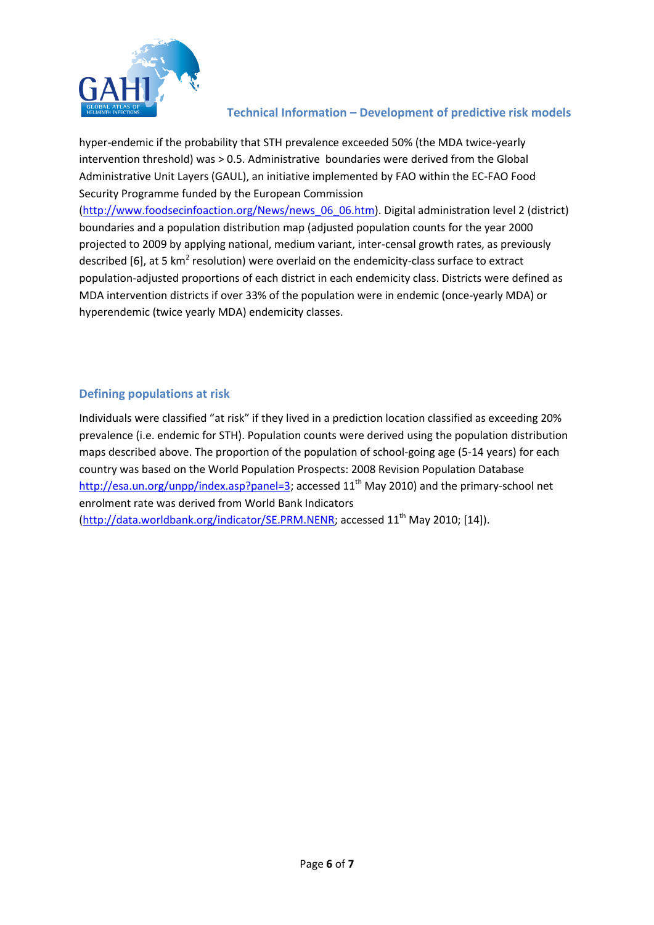

hyper-endemic if the probability that STH prevalence exceeded 50% (the MDA twice-yearly intervention threshold) was > 0.5. Administrative boundaries were derived from the Global Administrative Unit Layers (GAUL), an initiative implemented by FAO within the EC-FAO Food Security Programme funded by the European Commission [\(http://www.foodsecinfoaction.org/News/news\\_06\\_06.htm\)](http://www.foodsecinfoaction.org/News/news_06_06.htm). Digital administration level 2 (district) boundaries and a population distribution map (adjusted population counts for the year 2000 projected to 2009 by applying national, medium variant, inter-censal growth rates, as previously described [6], at 5 km<sup>2</sup> resolution) were overlaid on the endemicity-class surface to extract population-adjusted proportions of each district in each endemicity class. Districts were defined as MDA intervention districts if over 33% of the population were in endemic (once-yearly MDA) or hyperendemic (twice yearly MDA) endemicity classes.

#### **Defining populations at risk**

Individuals were classified "at risk" if they lived in a prediction location classified as exceeding 20% prevalence (i.e. endemic for STH). Population counts were derived using the population distribution maps described above. The proportion of the population of school-going age (5-14 years) for each country was based on the World Population Prospects: 2008 Revision Population Database [http://esa.un.org/unpp/index.asp?panel=3;](http://esa.un.org/unpp/index.asp?panel=3) accessed 11<sup>th</sup> May 2010) and the primary-school net enrolment rate was derived from World Bank Indicators [\(http://data.worldbank.org/indicator/SE.PRM.NENR;](http://data.worldbank.org/indicator/SE.PRM.NENR) accessed 11<sup>th</sup> May 2010; [14]).